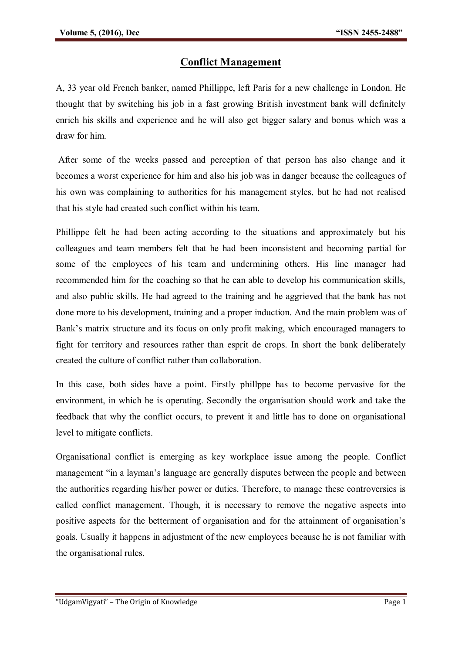## **Conflict Management**

A, 33 year old French banker, named Phillippe, left Paris for a new challenge in London. He thought that by switching his job in a fast growing British investment bank will definitely enrich his skills and experience and he will also get bigger salary and bonus which was a draw for him.

After some of the weeks passed and perception of that person has also change and it becomes a worst experience for him and also his job was in danger because the colleagues of his own was complaining to authorities for his management styles, but he had not realised that his style had created such conflict within his team.

Phillippe felt he had been acting according to the situations and approximately but his colleagues and team members felt that he had been inconsistent and becoming partial for some of the employees of his team and undermining others. His line manager had recommended him for the coaching so that he can able to develop his communication skills, and also public skills. He had agreed to the training and he aggrieved that the bank has not done more to his development, training and a proper induction. And the main problem was of Bank's matrix structure and its focus on only profit making, which encouraged managers to fight for territory and resources rather than esprit de crops. In short the bank deliberately created the culture of conflict rather than collaboration.

In this case, both sides have a point. Firstly phillppe has to become pervasive for the environment, in which he is operating. Secondly the organisation should work and take the feedback that why the conflict occurs, to prevent it and little has to done on organisational level to mitigate conflicts.

Organisational conflict is emerging as key workplace issue among the people. Conflict management "in a layman's language are generally disputes between the people and between the authorities regarding his/her power or duties. Therefore, to manage these controversies is called conflict management. Though, it is necessary to remove the negative aspects into positive aspects for the betterment of organisation and for the attainment of organisation's goals. Usually it happens in adjustment of the new employees because he is not familiar with the organisational rules.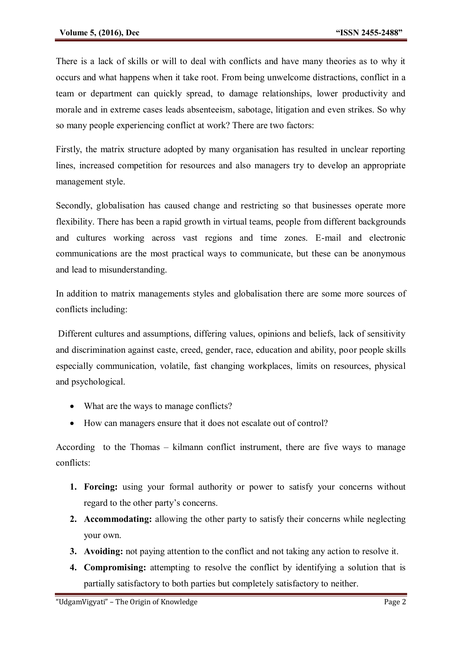There is a lack of skills or will to deal with conflicts and have many theories as to why it occurs and what happens when it take root. From being unwelcome distractions, conflict in a team or department can quickly spread, to damage relationships, lower productivity and morale and in extreme cases leads absenteeism, sabotage, litigation and even strikes. So why so many people experiencing conflict at work? There are two factors:

Firstly, the matrix structure adopted by many organisation has resulted in unclear reporting lines, increased competition for resources and also managers try to develop an appropriate management style.

Secondly, globalisation has caused change and restricting so that businesses operate more flexibility. There has been a rapid growth in virtual teams, people from different backgrounds and cultures working across vast regions and time zones. E-mail and electronic communications are the most practical ways to communicate, but these can be anonymous and lead to misunderstanding.

In addition to matrix managements styles and globalisation there are some more sources of conflicts including:

Different cultures and assumptions, differing values, opinions and beliefs, lack of sensitivity and discrimination against caste, creed, gender, race, education and ability, poor people skills especially communication, volatile, fast changing workplaces, limits on resources, physical and psychological.

- What are the ways to manage conflicts?
- How can managers ensure that it does not escalate out of control?

According to the Thomas – kilmann conflict instrument, there are five ways to manage conflicts:

- **1. Forcing:** using your formal authority or power to satisfy your concerns without regard to the other party's concerns.
- **2. Accommodating:** allowing the other party to satisfy their concerns while neglecting your own.
- **3. Avoiding:** not paying attention to the conflict and not taking any action to resolve it.
- **4. Compromising:** attempting to resolve the conflict by identifying a solution that is partially satisfactory to both parties but completely satisfactory to neither.